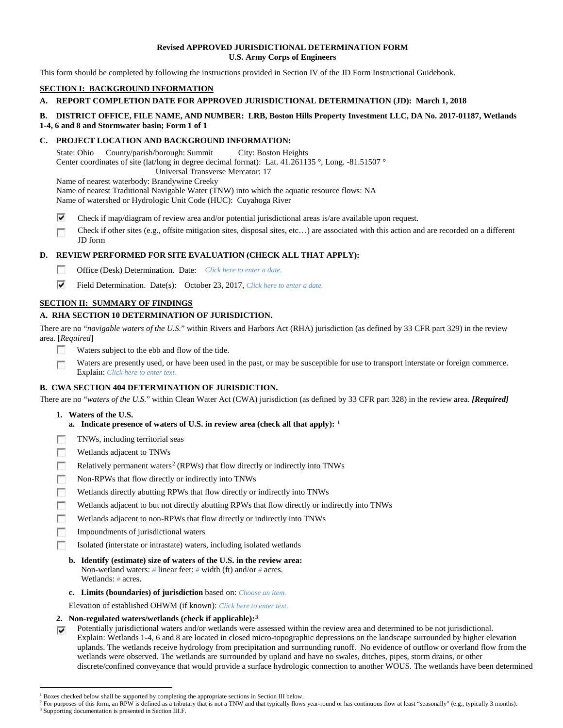## **Revised APPROVED JURISDICTIONAL DETERMINATION FORM U.S. Army Corps of Engineers**

This form should be completed by following the instructions provided in Section IV of the JD Form Instructional Guidebook.

# **SECTION I: BACKGROUND INFORMATION**

# **A. REPORT COMPLETION DATE FOR APPROVED JURISDICTIONAL DETERMINATION (JD): March 1, 2018**

## **B. DISTRICT OFFICE, FILE NAME, AND NUMBER: LRB, Boston Hills Property Investment LLC, DA No. 2017-01187, Wetlands 1-4, 6 and 8 and Stormwater basin; Form 1 of 1**

## **C. PROJECT LOCATION AND BACKGROUND INFORMATION:**

State: Ohio County/parish/borough: Summit City: Boston Heights Center coordinates of site (lat/long in degree decimal format): Lat. 41.261135 °, Long. -81.51507 ° Universal Transverse Mercator: 17

Name of nearest waterbody: Brandywine Creeky

Name of nearest Traditional Navigable Water (TNW) into which the aquatic resource flows: NA

Name of watershed or Hydrologic Unit Code (HUC): Cuyahoga River

- ⊽ Check if map/diagram of review area and/or potential jurisdictional areas is/are available upon request.
- Check if other sites (e.g., offsite mitigation sites, disposal sites, etc…) are associated with this action and are recorded on a different п JD form

# **D. REVIEW PERFORMED FOR SITE EVALUATION (CHECK ALL THAT APPLY):**

- $\sim$ Office (Desk) Determination. Date: *Click here to enter a date.*
- ⊽ Field Determination. Date(s): October 23, 2017, *Click here to enter a date.*

# **SECTION II: SUMMARY OF FINDINGS**

# **A. RHA SECTION 10 DETERMINATION OF JURISDICTION.**

There are no "*navigable waters of the U.S.*" within Rivers and Harbors Act (RHA) jurisdiction (as defined by 33 CFR part 329) in the review area. [*Required*]

- п Waters subject to the ebb and flow of the tide.
- Waters are presently used, or have been used in the past, or may be susceptible for use to transport interstate or foreign commerce. п Explain: *Click here to enter text.*

# **B. CWA SECTION 404 DETERMINATION OF JURISDICTION.**

There are no "*waters of the U.S.*" within Clean Water Act (CWA) jurisdiction (as defined by 33 CFR part 328) in the review area. *[Required]*

### **1. Waters of the U.S.**

- **a. Indicate presence of waters of U.S. in review area (check all that apply): [1](#page-0-0)**
- TNWs, including territorial seas п
- Wetlands adjacent to TNWs n
- n Relatively permanent waters<sup>[2](#page-0-1)</sup> (RPWs) that flow directly or indirectly into TNWs
- **F** Non-RPWs that flow directly or indirectly into TNWs
- Wetlands directly abutting RPWs that flow directly or indirectly into TNWs п
- г Wetlands adjacent to but not directly abutting RPWs that flow directly or indirectly into TNWs
- п Wetlands adjacent to non-RPWs that flow directly or indirectly into TNWs
- Impoundments of jurisdictional waters n.
- T. Isolated (interstate or intrastate) waters, including isolated wetlands
	- **b. Identify (estimate) size of waters of the U.S. in the review area:** Non-wetland waters: *#* linear feet: *#* width (ft) and/or *#* acres. Wetlands: *#* acres.
	- **c. Limits (boundaries) of jurisdiction** based on: *Choose an item.*
- Elevation of established OHWM (if known): *Click here to enter text.*
- **2. Non-regulated waters/wetlands (check if applicable):[3](#page-0-2)**
- Potentially jurisdictional waters and/or wetlands were assessed within the review area and determined to be not jurisdictional. ⊽ Explain: Wetlands 1-4, 6 and 8 are located in closed micro-topographic depressions on the landscape surrounded by higher elevation uplands. The wetlands receive hydrology from precipitation and surrounding runoff. No evidence of outflow or overland flow from the wetlands were observed. The wetlands are surrounded by upland and have no swales, ditches, pipes, storm drains, or other discrete/confined conveyance that would provide a surface hydrologic connection to another WOUS. The wetlands have been determined

<span id="page-0-0"></span><sup>&</sup>lt;sup>1</sup> Boxes checked below shall be supported by completing the appropriate sections in Section III below.

<span id="page-0-1"></span>For purposes of this form, an RPW is defined as a tributary that is not a TNW and that typically flows year-round or has continuous flow at least "seasonally" (e.g., typically 3 months).

<span id="page-0-2"></span><sup>&</sup>lt;sup>3</sup> Supporting documentation is presented in Section III.F.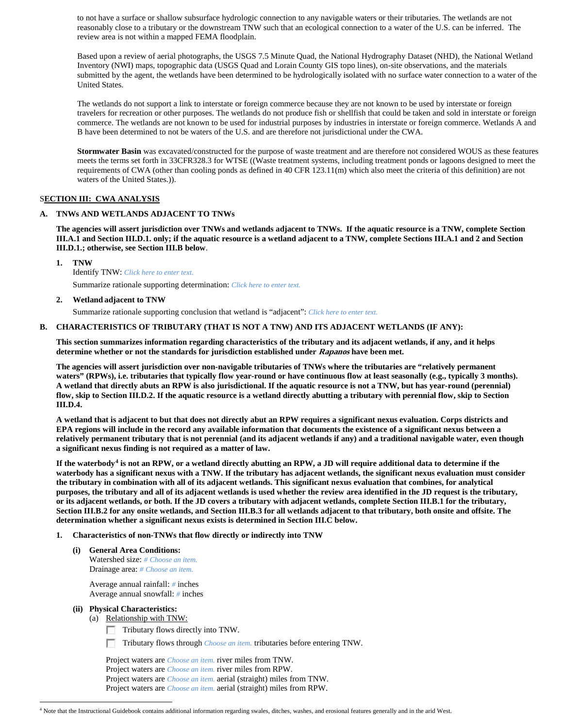to not have a surface or shallow subsurface hydrologic connection to any navigable waters or their tributaries. The wetlands are not reasonably close to a tributary or the downstream TNW such that an ecological connection to a water of the U.S. can be inferred. The review area is not within a mapped FEMA floodplain.

Based upon a review of aerial photographs, the USGS 7.5 Minute Quad, the National Hydrography Dataset (NHD), the National Wetland Inventory (NWI) maps, topographic data (USGS Quad and Lorain County GIS topo lines), on-site observations, and the materials submitted by the agent, the wetlands have been determined to be hydrologically isolated with no surface water connection to a water of the United States.

The wetlands do not support a link to interstate or foreign commerce because they are not known to be used by interstate or foreign travelers for recreation or other purposes. The wetlands do not produce fish or shellfish that could be taken and sold in interstate or foreign commerce. The wetlands are not known to be used for industrial purposes by industries in interstate or foreign commerce. Wetlands A and B have been determined to not be waters of the U.S. and are therefore not jurisdictional under the CWA.

**Stormwater Basin** was excavated/constructed for the purpose of waste treatment and are therefore not considered WOUS as these features meets the terms set forth in 33CFR328.3 for WTSE ((Waste treatment systems, including treatment ponds or lagoons designed to meet the requirements of CWA (other than cooling ponds as defined in 40 CFR 123.11(m) which also meet the criteria of this definition) are not waters of the United States.)).

## S**ECTION III: CWA ANALYSIS**

## **A. TNWs AND WETLANDS ADJACENT TO TNWs**

**The agencies will assert jurisdiction over TNWs and wetlands adjacent to TNWs. If the aquatic resource is a TNW, complete Section III.A.1 and Section III.D.1. only; if the aquatic resource is a wetland adjacent to a TNW, complete Sections III.A.1 and 2 and Section III.D.1.; otherwise, see Section III.B below**.

**1. TNW** 

Identify TNW: *Click here to enter text.* Summarize rationale supporting determination: *Click here to enter text.*

## **2. Wetland adjacent to TNW**

Summarize rationale supporting conclusion that wetland is "adjacent": *Click here to enter text.*

## **B. CHARACTERISTICS OF TRIBUTARY (THAT IS NOT A TNW) AND ITS ADJACENT WETLANDS (IF ANY):**

**This section summarizes information regarding characteristics of the tributary and its adjacent wetlands, if any, and it helps determine whether or not the standards for jurisdiction established under Rapanos have been met.** 

**The agencies will assert jurisdiction over non-navigable tributaries of TNWs where the tributaries are "relatively permanent waters" (RPWs), i.e. tributaries that typically flow year-round or have continuous flow at least seasonally (e.g., typically 3 months). A wetland that directly abuts an RPW is also jurisdictional. If the aquatic resource is not a TNW, but has year-round (perennial) flow, skip to Section III.D.2. If the aquatic resource is a wetland directly abutting a tributary with perennial flow, skip to Section III.D.4.**

**A wetland that is adjacent to but that does not directly abut an RPW requires a significant nexus evaluation. Corps districts and EPA regions will include in the record any available information that documents the existence of a significant nexus between a relatively permanent tributary that is not perennial (and its adjacent wetlands if any) and a traditional navigable water, even though a significant nexus finding is not required as a matter of law.**

**If the waterbody[4](#page-1-0) is not an RPW, or a wetland directly abutting an RPW, a JD will require additional data to determine if the waterbody has a significant nexus with a TNW. If the tributary has adjacent wetlands, the significant nexus evaluation must consider the tributary in combination with all of its adjacent wetlands. This significant nexus evaluation that combines, for analytical purposes, the tributary and all of its adjacent wetlands is used whether the review area identified in the JD request is the tributary, or its adjacent wetlands, or both. If the JD covers a tributary with adjacent wetlands, complete Section III.B.1 for the tributary, Section III.B.2 for any onsite wetlands, and Section III.B.3 for all wetlands adjacent to that tributary, both onsite and offsite. The determination whether a significant nexus exists is determined in Section III.C below.**

- **1. Characteristics of non-TNWs that flow directly or indirectly into TNW**
	- **(i) General Area Conditions:** Watershed size: *# Choose an item.* Drainage area: *# Choose an item.*

Average annual rainfall: *#* inches Average annual snowfall: *#* inches

- **(ii) Physical Characteristics:**
	- (a) Relationship with TNW:
		- Tributary flows directly into TNW.
		- $\sim$ Tributary flows through *Choose an item.* tributaries before entering TNW.

Project waters are *Choose an item.* river miles from TNW. Project waters are *Choose an item.* river miles from RPW. Project waters are *Choose an item.* aerial (straight) miles from TNW. Project waters are *Choose an item.* aerial (straight) miles from RPW.

<span id="page-1-0"></span> <sup>4</sup> Note that the Instructional Guidebook contains additional information regarding swales, ditches, washes, and erosional features generally and in the arid West.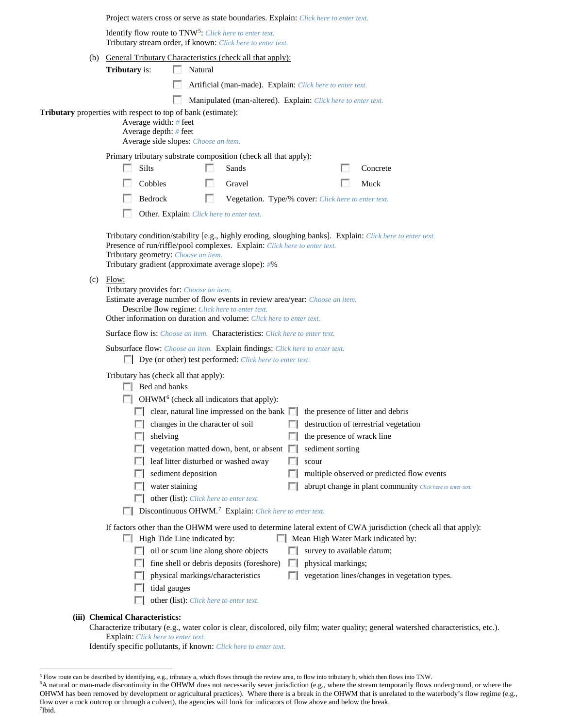|                                                                                                                                                                                                                                                                 | Project waters cross or serve as state boundaries. Explain: Click here to enter text.                                                                                                                                                                                               |                                                                                              |                                                             |    |                                                                                |                                                                                                                                                        |  |  |
|-----------------------------------------------------------------------------------------------------------------------------------------------------------------------------------------------------------------------------------------------------------------|-------------------------------------------------------------------------------------------------------------------------------------------------------------------------------------------------------------------------------------------------------------------------------------|----------------------------------------------------------------------------------------------|-------------------------------------------------------------|----|--------------------------------------------------------------------------------|--------------------------------------------------------------------------------------------------------------------------------------------------------|--|--|
|                                                                                                                                                                                                                                                                 | Identify flow route to TNW <sup>5</sup> : Click here to enter text.<br>Tributary stream order, if known: Click here to enter text.                                                                                                                                                  |                                                                                              |                                                             |    |                                                                                |                                                                                                                                                        |  |  |
|                                                                                                                                                                                                                                                                 | <b>Tributary</b> is:                                                                                                                                                                                                                                                                | (b) General Tributary Characteristics (check all that apply):<br>Natural                     |                                                             |    |                                                                                |                                                                                                                                                        |  |  |
|                                                                                                                                                                                                                                                                 |                                                                                                                                                                                                                                                                                     |                                                                                              |                                                             |    | Artificial (man-made). Explain: Click here to enter text.                      |                                                                                                                                                        |  |  |
|                                                                                                                                                                                                                                                                 |                                                                                                                                                                                                                                                                                     |                                                                                              |                                                             |    | Manipulated (man-altered). Explain: Click here to enter text.                  |                                                                                                                                                        |  |  |
|                                                                                                                                                                                                                                                                 | Tributary properties with respect to top of bank (estimate):<br>Average width: # feet<br>Average depth: # feet                                                                                                                                                                      | Average side slopes: Choose an item.                                                         |                                                             |    |                                                                                |                                                                                                                                                        |  |  |
|                                                                                                                                                                                                                                                                 | Primary tributary substrate composition (check all that apply):                                                                                                                                                                                                                     |                                                                                              |                                                             |    |                                                                                |                                                                                                                                                        |  |  |
|                                                                                                                                                                                                                                                                 | Silts<br>L.                                                                                                                                                                                                                                                                         |                                                                                              | Sands                                                       |    |                                                                                | Concrete                                                                                                                                               |  |  |
|                                                                                                                                                                                                                                                                 | Cobbles                                                                                                                                                                                                                                                                             |                                                                                              | Gravel                                                      |    |                                                                                | Muck                                                                                                                                                   |  |  |
|                                                                                                                                                                                                                                                                 | Bedrock                                                                                                                                                                                                                                                                             | o                                                                                            |                                                             |    | Vegetation. Type/% cover: Click here to enter text.                            |                                                                                                                                                        |  |  |
|                                                                                                                                                                                                                                                                 |                                                                                                                                                                                                                                                                                     | Other. Explain: Click here to enter text.                                                    |                                                             |    |                                                                                |                                                                                                                                                        |  |  |
|                                                                                                                                                                                                                                                                 | Tributary condition/stability [e.g., highly eroding, sloughing banks]. Explain: Click here to enter text.<br>Presence of run/riffle/pool complexes. Explain: Click here to enter text.<br>Tributary geometry: Choose an item.<br>Tributary gradient (approximate average slope): #% |                                                                                              |                                                             |    |                                                                                |                                                                                                                                                        |  |  |
| $(c)$ Flow:<br>Tributary provides for: Choose an item.<br>Estimate average number of flow events in review area/year: Choose an item.<br>Describe flow regime: Click here to enter text.<br>Other information on duration and volume: Click here to enter text. |                                                                                                                                                                                                                                                                                     |                                                                                              |                                                             |    |                                                                                |                                                                                                                                                        |  |  |
|                                                                                                                                                                                                                                                                 | Surface flow is: Choose an item. Characteristics: Click here to enter text.                                                                                                                                                                                                         |                                                                                              |                                                             |    |                                                                                |                                                                                                                                                        |  |  |
|                                                                                                                                                                                                                                                                 | Subsurface flow: Choose an item. Explain findings: Click here to enter text.<br><b>Dye</b> (or other) test performed: <i>Click here to enter text</i> .                                                                                                                             |                                                                                              |                                                             |    |                                                                                |                                                                                                                                                        |  |  |
|                                                                                                                                                                                                                                                                 | Tributary has (check all that apply):<br>$\Box$ Bed and banks                                                                                                                                                                                                                       |                                                                                              | $\Box$ OHWM <sup>6</sup> (check all indicators that apply): |    |                                                                                |                                                                                                                                                        |  |  |
|                                                                                                                                                                                                                                                                 |                                                                                                                                                                                                                                                                                     |                                                                                              |                                                             |    | clear, natural line impressed on the bank in the presence of litter and debris |                                                                                                                                                        |  |  |
|                                                                                                                                                                                                                                                                 |                                                                                                                                                                                                                                                                                     |                                                                                              |                                                             |    |                                                                                | changes in the character of soil $\Box$ destruction of terrestrial vegetation                                                                          |  |  |
|                                                                                                                                                                                                                                                                 | shelving                                                                                                                                                                                                                                                                            |                                                                                              |                                                             |    | the presence of wrack line                                                     |                                                                                                                                                        |  |  |
|                                                                                                                                                                                                                                                                 |                                                                                                                                                                                                                                                                                     |                                                                                              | vegetation matted down, bent, or absent $\Box$              |    | sediment sorting                                                               |                                                                                                                                                        |  |  |
|                                                                                                                                                                                                                                                                 |                                                                                                                                                                                                                                                                                     |                                                                                              | leaf litter disturbed or washed away                        |    | scour                                                                          |                                                                                                                                                        |  |  |
|                                                                                                                                                                                                                                                                 |                                                                                                                                                                                                                                                                                     | sediment deposition                                                                          |                                                             |    |                                                                                | multiple observed or predicted flow events                                                                                                             |  |  |
|                                                                                                                                                                                                                                                                 |                                                                                                                                                                                                                                                                                     | water staining                                                                               |                                                             |    |                                                                                | abrupt change in plant community Click here to enter text.                                                                                             |  |  |
| other (list): Click here to enter text.<br>Discontinuous OHWM. <sup>7</sup> Explain: Click here to enter text.                                                                                                                                                  |                                                                                                                                                                                                                                                                                     |                                                                                              |                                                             |    |                                                                                |                                                                                                                                                        |  |  |
|                                                                                                                                                                                                                                                                 |                                                                                                                                                                                                                                                                                     | High Tide Line indicated by:                                                                 |                                                             |    |                                                                                | If factors other than the OHWM were used to determine lateral extent of CWA jurisdiction (check all that apply):<br>Mean High Water Mark indicated by: |  |  |
|                                                                                                                                                                                                                                                                 |                                                                                                                                                                                                                                                                                     |                                                                                              | oil or scum line along shore objects                        |    | survey to available datum;                                                     |                                                                                                                                                        |  |  |
|                                                                                                                                                                                                                                                                 |                                                                                                                                                                                                                                                                                     |                                                                                              | fine shell or debris deposits (foreshore)                   | L. | physical markings;                                                             |                                                                                                                                                        |  |  |
|                                                                                                                                                                                                                                                                 |                                                                                                                                                                                                                                                                                     | physical markings/characteristics<br>tidal gauges<br>other (list): Click here to enter text. |                                                             |    |                                                                                | vegetation lines/changes in vegetation types.                                                                                                          |  |  |
|                                                                                                                                                                                                                                                                 |                                                                                                                                                                                                                                                                                     |                                                                                              |                                                             |    |                                                                                |                                                                                                                                                        |  |  |
|                                                                                                                                                                                                                                                                 | (iii) Chemical Characteristics:                                                                                                                                                                                                                                                     |                                                                                              |                                                             |    |                                                                                | Characterize tributary (e.g., water color is clear, discolored, oily film; water quality; general watershed characteristics, etc.).                    |  |  |

Explain: *Click here to enter text.*

Identify specific pollutants, if known: *Click here to enter text.*

<span id="page-2-2"></span>7 Ibid.

<span id="page-2-0"></span> <sup>5</sup> Flow route can be described by identifying, e.g., tributary a, which flows through the review area, to flow into tributary b, which then flows into TNW.

<span id="page-2-1"></span><sup>6</sup> A natural or man-made discontinuity in the OHWM does not necessarily sever jurisdiction (e.g., where the stream temporarily flows underground, or where the OHWM has been removed by development or agricultural practices). Where there is a break in the OHWM that is unrelated to the waterbody's flow regime (e.g., flow over a rock outcrop or through a culvert), the agencies will look for indicators of flow above and below the break.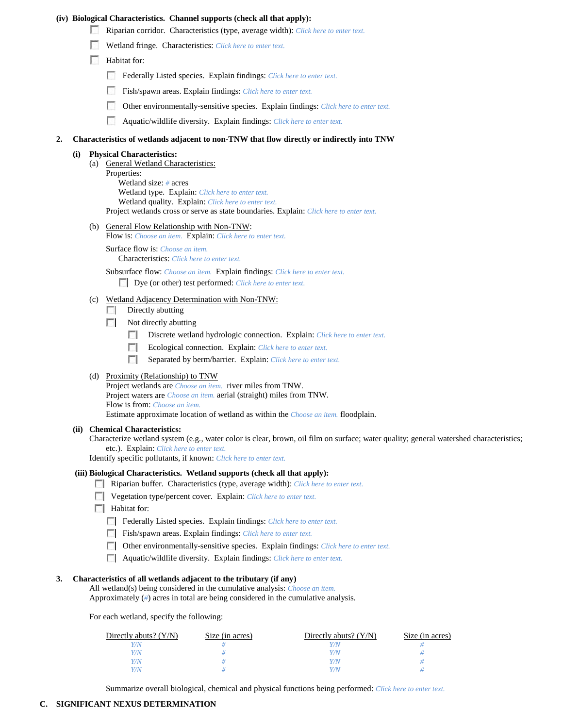### **(iv) Biological Characteristics. Channel supports (check all that apply):**

- Riparian corridor. Characteristics (type, average width): *Click here to enter text.*
- Wetland fringe. Characteristics: *Click here to enter text.*
- **Habitat for:** 
	- Federally Listed species. Explain findings: *Click here to enter text*.
	- Fish/spawn areas. Explain findings: *Click here to enter text.*
	- Other environmentally-sensitive species. Explain findings: *Click here to enter text.*
	- Aquatic/wildlife diversity. Explain findings: *Click here to enter text.*

#### **2. Characteristics of wetlands adjacent to non-TNW that flow directly or indirectly into TNW**

#### **(i) Physical Characteristics:**

(a) General Wetland Characteristics: Properties: Wetland size: *#* acres Wetland type. Explain: *Click here to enter text.* Wetland quality. Explain: *Click here to enter text.*

Project wetlands cross or serve as state boundaries. Explain: *Click here to enter text.*

(b) General Flow Relationship with Non-TNW:

Flow is: *Choose an item.* Explain: *Click here to enter text.*

Surface flow is: *Choose an item.* Characteristics: *Click here to enter text.*

Subsurface flow: *Choose an item.* Explain findings: *Click here to enter text.* Dye (or other) test performed: *Click here to enter text.*

# (c) Wetland Adjacency Determination with Non-TNW:

- $\Box$  Directly abutting
- $\Box$  Not directly abutting
	- Discrete wetland hydrologic connection. Explain: *Click here to enter text.*
	- Ecological connection. Explain: *Click here to enter text.*
	- Separated by berm/barrier. Explain: *Click here to enter text.*

# (d) Proximity (Relationship) to TNW

Project wetlands are *Choose an item.* river miles from TNW. Project waters are *Choose an item.* aerial (straight) miles from TNW. Flow is from: *Choose an item.* Estimate approximate location of wetland as within the *Choose an item.* floodplain.

#### **(ii) Chemical Characteristics:**

Characterize wetland system (e.g., water color is clear, brown, oil film on surface; water quality; general watershed characteristics; etc.). Explain: *Click here to enter text.*

Identify specific pollutants, if known: *Click here to enter text.*

### **(iii) Biological Characteristics. Wetland supports (check all that apply):**

- Riparian buffer. Characteristics (type, average width): *Click here to enter text.*
- Vegetation type/percent cover. Explain: *Click here to enter text.*
- **Habitat for:** 
	- Federally Listed species. Explain findings: *Click here to enter text.*
	- Fish/spawn areas. Explain findings: *Click here to enter text.*
	- Other environmentally-sensitive species. Explain findings: *Click here to enter text.*
	- Aquatic/wildlife diversity. Explain findings: *Click here to enter text.*

## **3. Characteristics of all wetlands adjacent to the tributary (if any)**

All wetland(s) being considered in the cumulative analysis: *Choose an item.* Approximately (*#*) acres in total are being considered in the cumulative analysis.

For each wetland, specify the following:

| Directly abuts? $(Y/N)$ | Size (in acres) | Directly abuts? $(Y/N)$ | Size (in acres) |
|-------------------------|-----------------|-------------------------|-----------------|
|                         |                 | Y/N                     |                 |
| V/N                     |                 | Y/N                     |                 |
| Y/N                     |                 | Y/N                     |                 |
| V/N                     |                 | Y/N                     |                 |

Summarize overall biological, chemical and physical functions being performed: *Click here to enter text.*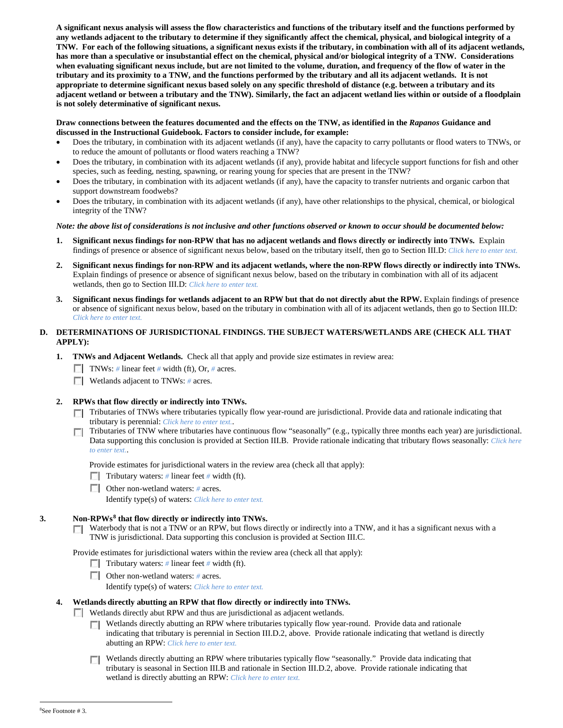**A significant nexus analysis will assess the flow characteristics and functions of the tributary itself and the functions performed by any wetlands adjacent to the tributary to determine if they significantly affect the chemical, physical, and biological integrity of a TNW. For each of the following situations, a significant nexus exists if the tributary, in combination with all of its adjacent wetlands, has more than a speculative or insubstantial effect on the chemical, physical and/or biological integrity of a TNW. Considerations when evaluating significant nexus include, but are not limited to the volume, duration, and frequency of the flow of water in the tributary and its proximity to a TNW, and the functions performed by the tributary and all its adjacent wetlands. It is not appropriate to determine significant nexus based solely on any specific threshold of distance (e.g. between a tributary and its adjacent wetland or between a tributary and the TNW). Similarly, the fact an adjacent wetland lies within or outside of a floodplain is not solely determinative of significant nexus.** 

### **Draw connections between the features documented and the effects on the TNW, as identified in the** *Rapanos* **Guidance and discussed in the Instructional Guidebook. Factors to consider include, for example:**

- Does the tributary, in combination with its adjacent wetlands (if any), have the capacity to carry pollutants or flood waters to TNWs, or to reduce the amount of pollutants or flood waters reaching a TNW?
- Does the tributary, in combination with its adjacent wetlands (if any), provide habitat and lifecycle support functions for fish and other species, such as feeding, nesting, spawning, or rearing young for species that are present in the TNW?
- Does the tributary, in combination with its adjacent wetlands (if any), have the capacity to transfer nutrients and organic carbon that support downstream foodwebs?
- Does the tributary, in combination with its adjacent wetlands (if any), have other relationships to the physical, chemical, or biological integrity of the TNW?

## *Note: the above list of considerations is not inclusive and other functions observed or known to occur should be documented below:*

- **1. Significant nexus findings for non-RPW that has no adjacent wetlands and flows directly or indirectly into TNWs.** Explain findings of presence or absence of significant nexus below, based on the tributary itself, then go to Section III.D: *Click here to enter text.*
- **2. Significant nexus findings for non-RPW and its adjacent wetlands, where the non-RPW flows directly or indirectly into TNWs.**  Explain findings of presence or absence of significant nexus below, based on the tributary in combination with all of its adjacent wetlands, then go to Section III.D: *Click here to enter text.*
- **3. Significant nexus findings for wetlands adjacent to an RPW but that do not directly abut the RPW.** Explain findings of presence or absence of significant nexus below, based on the tributary in combination with all of its adjacent wetlands, then go to Section III.D: *Click here to enter text.*

# **D. DETERMINATIONS OF JURISDICTIONAL FINDINGS. THE SUBJECT WATERS/WETLANDS ARE (CHECK ALL THAT APPLY):**

- **1. TNWs and Adjacent Wetlands.** Check all that apply and provide size estimates in review area:
	- TNWs: *#* linear feet *#* width (ft), Or, *#* acres.
	- **Wetlands adjacent to TNWs:** # acres.

# **2. RPWs that flow directly or indirectly into TNWs.**

- Tributaries of TNWs where tributaries typically flow year-round are jurisdictional. Provide data and rationale indicating that tributary is perennial: *Click here to enter text.*.
- Tributaries of TNW where tributaries have continuous flow "seasonally" (e.g., typically three months each year) are jurisdictional. Data supporting this conclusion is provided at Section III.B. Provide rationale indicating that tributary flows seasonally: *Click here to enter text.*.

Provide estimates for jurisdictional waters in the review area (check all that apply):

- Tributary waters: # linear feet # width (ft).
- Other non-wetland waters: # acres.

Identify type(s) of waters: *Click here to enter text.*

# **3. Non-RPWs[8](#page-4-0) that flow directly or indirectly into TNWs.**

 $\Box$  Waterbody that is not a TNW or an RPW, but flows directly or indirectly into a TNW, and it has a significant nexus with a TNW is jurisdictional. Data supporting this conclusion is provided at Section III.C.

Provide estimates for jurisdictional waters within the review area (check all that apply):

- **Tributary waters:** # linear feet # width (ft).
- Other non-wetland waters: *#* acres.

Identify type(s) of waters: *Click here to enter text.*

### <span id="page-4-0"></span>**4. Wetlands directly abutting an RPW that flow directly or indirectly into TNWs.**

- Wetlands directly abut RPW and thus are jurisdictional as adjacent wetlands.
	- $\Box$  Wetlands directly abutting an RPW where tributaries typically flow year-round. Provide data and rationale indicating that tributary is perennial in Section III.D.2, above. Provide rationale indicating that wetland is directly abutting an RPW: *Click here to enter text.*
	- Wetlands directly abutting an RPW where tributaries typically flow "seasonally." Provide data indicating that tributary is seasonal in Section III.B and rationale in Section III.D.2, above. Provide rationale indicating that wetland is directly abutting an RPW: *Click here to enter text.*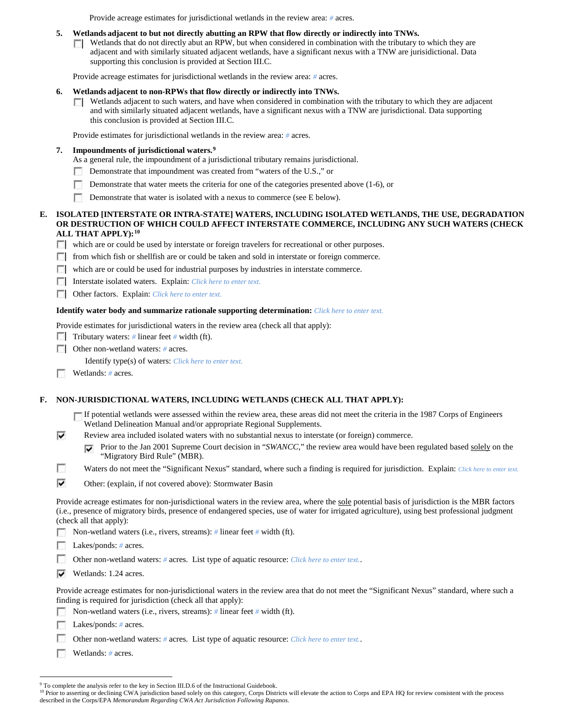Provide acreage estimates for jurisdictional wetlands in the review area: *#* acres.

### **5. Wetlands adjacent to but not directly abutting an RPW that flow directly or indirectly into TNWs.**

 $\Box$  Wetlands that do not directly abut an RPW, but when considered in combination with the tributary to which they are adjacent and with similarly situated adjacent wetlands, have a significant nexus with a TNW are jurisidictional. Data supporting this conclusion is provided at Section III.C.

Provide acreage estimates for jurisdictional wetlands in the review area: *#* acres.

### **6. Wetlands adjacent to non-RPWs that flow directly or indirectly into TNWs.**

 $\Box$  Wetlands adjacent to such waters, and have when considered in combination with the tributary to which they are adjacent and with similarly situated adjacent wetlands, have a significant nexus with a TNW are jurisdictional. Data supporting this conclusion is provided at Section III.C.

Provide estimates for jurisdictional wetlands in the review area: *#* acres.

## **7. Impoundments of jurisdictional waters. [9](#page-5-0)**

- As a general rule, the impoundment of a jurisdictional tributary remains jurisdictional.
- Demonstrate that impoundment was created from "waters of the U.S.," or n
- Demonstrate that water meets the criteria for one of the categories presented above (1-6), or
- $\sim$ Demonstrate that water is isolated with a nexus to commerce (see E below).

### **E. ISOLATED [INTERSTATE OR INTRA-STATE] WATERS, INCLUDING ISOLATED WETLANDS, THE USE, DEGRADATION OR DESTRUCTION OF WHICH COULD AFFECT INTERSTATE COMMERCE, INCLUDING ANY SUCH WATERS (CHECK ALL THAT APPLY):[10](#page-5-1)**

- which are or could be used by interstate or foreign travelers for recreational or other purposes.
- from which fish or shellfish are or could be taken and sold in interstate or foreign commerce.
- which are or could be used for industrial purposes by industries in interstate commerce.
- Interstate isolated waters.Explain: *Click here to enter text.*
- Other factors.Explain: *Click here to enter text.*

#### **Identify water body and summarize rationale supporting determination:** *Click here to enter text.*

Provide estimates for jurisdictional waters in the review area (check all that apply):

- Tributary waters: # linear feet # width (ft).
- Other non-wetland waters: *#* acres.

Identify type(s) of waters: *Click here to enter text.*

п Wetlands: *#* acres.

⊽

### **F. NON-JURISDICTIONAL WATERS, INCLUDING WETLANDS (CHECK ALL THAT APPLY):**

- If potential wetlands were assessed within the review area, these areas did not meet the criteria in the 1987 Corps of Engineers Wetland Delineation Manual and/or appropriate Regional Supplements.
- Review area included isolated waters with no substantial nexus to interstate (or foreign) commerce.
	- Prior to the Jan 2001 Supreme Court decision in "*SWANCC*," the review area would have been regulated based solely on the "Migratory Bird Rule" (MBR).
- n Waters do not meet the "Significant Nexus" standard, where such a finding is required for jurisdiction. Explain: Click here to enter text.
- ⊽ Other: (explain, if not covered above): Stormwater Basin

Provide acreage estimates for non-jurisdictional waters in the review area, where the sole potential basis of jurisdiction is the MBR factors (i.e., presence of migratory birds, presence of endangered species, use of water for irrigated agriculture), using best professional judgment (check all that apply):

Non-wetland waters (i.e., rivers, streams): *#* linear feet *#* width (ft).

Lakes/ponds: *#* acres.

- n Other non-wetland waters: *#* acres. List type of aquatic resource: *Click here to enter text.*.
- $\triangledown$  Wetlands: 1.24 acres.

Provide acreage estimates for non-jurisdictional waters in the review area that do not meet the "Significant Nexus" standard, where such a finding is required for jurisdiction (check all that apply):

- Non-wetland waters (i.e., rivers, streams): *#* linear feet *#* width (ft).
- Lakes/ponds: # acres.
- Other non-wetland waters: *#* acres. List type of aquatic resource: *Click here to enter text.*.
- Wetlands: *#* acres.

<sup>&</sup>lt;sup>9</sup> To complete the analysis refer to the key in Section III.D.6 of the Instructional Guidebook.

<span id="page-5-1"></span><span id="page-5-0"></span><sup>&</sup>lt;sup>10</sup> Prior to asserting or declining CWA jurisdiction based solely on this category, Corps Districts will elevate the action to Corps and EPA HQ for review consistent with the process described in the Corps/EPA *Memorandum Regarding CWA Act Jurisdiction Following Rapanos.*